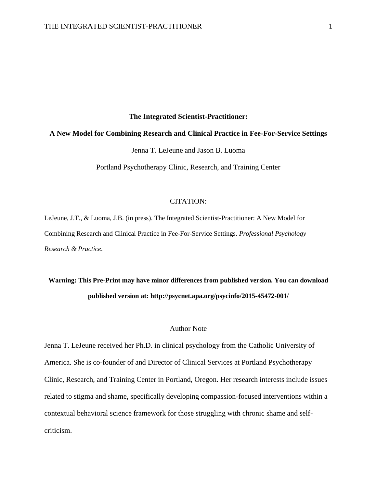#### **The Integrated Scientist-Practitioner:**

#### **A New Model for Combining Research and Clinical Practice in Fee-For-Service Settings**

Jenna T. LeJeune and Jason B. Luoma

Portland Psychotherapy Clinic, Research, and Training Center

#### CITATION:

LeJeune, J.T., & Luoma, J.B. (in press). The Integrated Scientist-Practitioner: A New Model for Combining Research and Clinical Practice in Fee-For-Service Settings. *Professional Psychology Research & Practice.*

## **Warning: This Pre-Print may have minor differences from published version. You can download published version at: http://psycnet.apa.org/psycinfo/2015-45472-001/**

## Author Note

Jenna T. LeJeune received her Ph.D. in clinical psychology from the Catholic University of America. She is co-founder of and Director of Clinical Services at Portland Psychotherapy Clinic, Research, and Training Center in Portland, Oregon. Her research interests include issues related to stigma and shame, specifically developing compassion-focused interventions within a contextual behavioral science framework for those struggling with chronic shame and selfcriticism.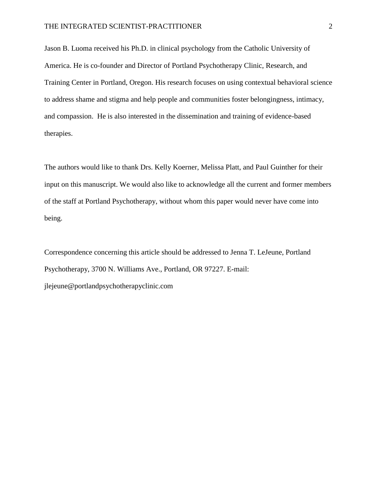Jason B. Luoma received his Ph.D. in clinical psychology from the Catholic University of America. He is co-founder and Director of Portland Psychotherapy Clinic, Research, and Training Center in Portland, Oregon. His research focuses on using contextual behavioral science to address shame and stigma and help people and communities foster belongingness, intimacy, and compassion. He is also interested in the dissemination and training of evidence-based therapies.

The authors would like to thank Drs. Kelly Koerner, Melissa Platt, and Paul Guinther for their input on this manuscript. We would also like to acknowledge all the current and former members of the staff at Portland Psychotherapy, without whom this paper would never have come into being.

Correspondence concerning this article should be addressed to Jenna T. LeJeune, Portland Psychotherapy, 3700 N. Williams Ave., Portland, OR 97227. E-mail: jlejeune@portlandpsychotherapyclinic.com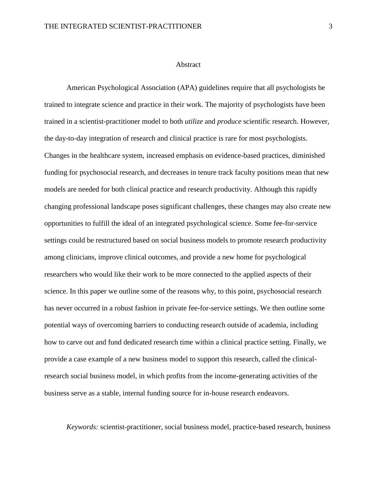#### Abstract

American Psychological Association (APA) guidelines require that all psychologists be trained to integrate science and practice in their work. The majority of psychologists have been trained in a scientist-practitioner model to both *utilize* and *produce* scientific research. However, the day-to-day integration of research and clinical practice is rare for most psychologists. Changes in the healthcare system, increased emphasis on evidence-based practices, diminished funding for psychosocial research, and decreases in tenure track faculty positions mean that new models are needed for both clinical practice and research productivity. Although this rapidly changing professional landscape poses significant challenges, these changes may also create new opportunities to fulfill the ideal of an integrated psychological science. Some fee-for-service settings could be restructured based on social business models to promote research productivity among clinicians, improve clinical outcomes, and provide a new home for psychological researchers who would like their work to be more connected to the applied aspects of their science. In this paper we outline some of the reasons why, to this point, psychosocial research has never occurred in a robust fashion in private fee-for-service settings. We then outline some potential ways of overcoming barriers to conducting research outside of academia, including how to carve out and fund dedicated research time within a clinical practice setting. Finally, we provide a case example of a new business model to support this research, called the clinicalresearch social business model, in which profits from the income-generating activities of the business serve as a stable, internal funding source for in-house research endeavors.

*Keywords:* scientist-practitioner, social business model, practice-based research, business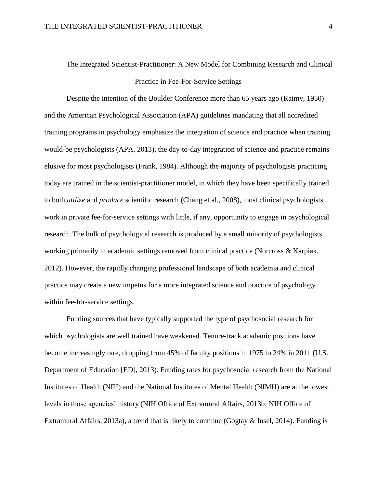# The Integrated Scientist-Practitioner: A New Model for Combining Research and Clinical Practice in Fee-For-Service Settings

Despite the intention of the Boulder Conference more than 65 years ago (Raimy, 1950) and the American Psychological Association (APA) guidelines mandating that all accredited training programs in psychology emphasize the integration of science and practice when training would-be psychologists (APA, 2013), the day-to-day integration of science and practice remains elusive for most psychologists (Frank, 1984). Although the majority of psychologists practicing today are trained in the scientist-practitioner model, in which they have been specifically trained to both *utilize* and *produce* scientific research (Chang et al., 2008), most clinical psychologists work in private fee-for-service settings with little, if any, opportunity to engage in psychological research. The bulk of psychological research is produced by a small minority of psychologists working primarily in academic settings removed from clinical practice (Norcross & Karpiak, 2012). However, the rapidly changing professional landscape of both academia and clinical practice may create a new impetus for a more integrated science and practice of psychology within fee-for-service settings.

Funding sources that have typically supported the type of psychosocial research for which psychologists are well trained have weakened. Tenure-track academic positions have become increasingly rare, dropping from 45% of faculty positions in 1975 to 24% in 2011 (U.S. Department of Education [ED], 2013). Funding rates for psychosocial research from the National Institutes of Health (NIH) and the National Institutes of Mental Health (NIMH) are at the lowest levels in those agencies' history (NIH Office of Extramural Affairs, 2013b; NIH Office of Extramural Affairs, 2013a), a trend that is likely to continue (Gogtay & Insel, 2014). Funding is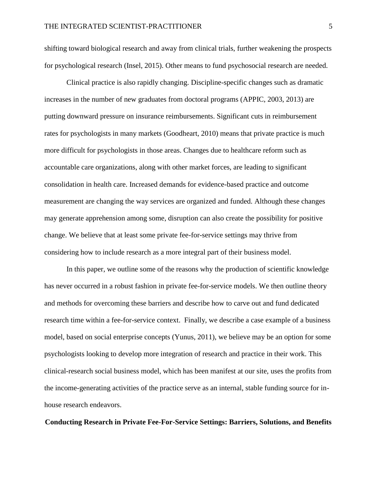shifting toward biological research and away from clinical trials, further weakening the prospects for psychological research (Insel, 2015). Other means to fund psychosocial research are needed.

Clinical practice is also rapidly changing. Discipline-specific changes such as dramatic increases in the number of new graduates from doctoral programs (APPIC, 2003, 2013) are putting downward pressure on insurance reimbursements. Significant cuts in reimbursement rates for psychologists in many markets (Goodheart, 2010) means that private practice is much more difficult for psychologists in those areas. Changes due to healthcare reform such as accountable care organizations, along with other market forces, are leading to significant consolidation in health care. Increased demands for evidence-based practice and outcome measurement are changing the way services are organized and funded. Although these changes may generate apprehension among some, disruption can also create the possibility for positive change. We believe that at least some private fee-for-service settings may thrive from considering how to include research as a more integral part of their business model.

In this paper, we outline some of the reasons why the production of scientific knowledge has never occurred in a robust fashion in private fee-for-service models. We then outline theory and methods for overcoming these barriers and describe how to carve out and fund dedicated research time within a fee-for-service context. Finally, we describe a case example of a business model, based on social enterprise concepts (Yunus, 2011), we believe may be an option for some psychologists looking to develop more integration of research and practice in their work. This clinical-research social business model, which has been manifest at our site, uses the profits from the income-generating activities of the practice serve as an internal, stable funding source for inhouse research endeavors.

#### **Conducting Research in Private Fee-For-Service Settings: Barriers, Solutions, and Benefits**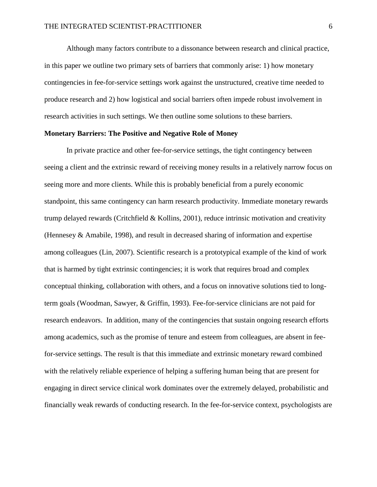Although many factors contribute to a dissonance between research and clinical practice, in this paper we outline two primary sets of barriers that commonly arise: 1) how monetary contingencies in fee-for-service settings work against the unstructured, creative time needed to produce research and 2) how logistical and social barriers often impede robust involvement in research activities in such settings. We then outline some solutions to these barriers.

## **Monetary Barriers: The Positive and Negative Role of Money**

In private practice and other fee-for-service settings, the tight contingency between seeing a client and the extrinsic reward of receiving money results in a relatively narrow focus on seeing more and more clients. While this is probably beneficial from a purely economic standpoint, this same contingency can harm research productivity. Immediate monetary rewards trump delayed rewards (Critchfield & Kollins, 2001), reduce intrinsic motivation and creativity (Hennesey & Amabile, 1998), and result in decreased sharing of information and expertise among colleagues (Lin, 2007). Scientific research is a prototypical example of the kind of work that is harmed by tight extrinsic contingencies; it is work that requires broad and complex conceptual thinking, collaboration with others, and a focus on innovative solutions tied to longterm goals (Woodman, Sawyer, & Griffin, 1993). Fee-for-service clinicians are not paid for research endeavors. In addition, many of the contingencies that sustain ongoing research efforts among academics, such as the promise of tenure and esteem from colleagues, are absent in feefor-service settings. The result is that this immediate and extrinsic monetary reward combined with the relatively reliable experience of helping a suffering human being that are present for engaging in direct service clinical work dominates over the extremely delayed, probabilistic and financially weak rewards of conducting research. In the fee-for-service context, psychologists are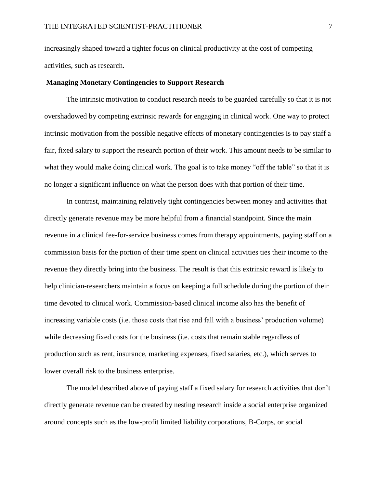increasingly shaped toward a tighter focus on clinical productivity at the cost of competing activities, such as research.

#### **Managing Monetary Contingencies to Support Research**

The intrinsic motivation to conduct research needs to be guarded carefully so that it is not overshadowed by competing extrinsic rewards for engaging in clinical work. One way to protect intrinsic motivation from the possible negative effects of monetary contingencies is to pay staff a fair, fixed salary to support the research portion of their work. This amount needs to be similar to what they would make doing clinical work. The goal is to take money "off the table" so that it is no longer a significant influence on what the person does with that portion of their time.

In contrast, maintaining relatively tight contingencies between money and activities that directly generate revenue may be more helpful from a financial standpoint. Since the main revenue in a clinical fee-for-service business comes from therapy appointments, paying staff on a commission basis for the portion of their time spent on clinical activities ties their income to the revenue they directly bring into the business. The result is that this extrinsic reward is likely to help clinician-researchers maintain a focus on keeping a full schedule during the portion of their time devoted to clinical work. Commission-based clinical income also has the benefit of increasing variable costs (i.e. those costs that rise and fall with a business' production volume) while decreasing fixed costs for the business (i.e. costs that remain stable regardless of production such as rent, insurance, marketing expenses, fixed salaries, etc.), which serves to lower overall risk to the business enterprise.

The model described above of paying staff a fixed salary for research activities that don't directly generate revenue can be created by nesting research inside a social enterprise organized around concepts such as the low-profit limited liability corporations, B-Corps, or social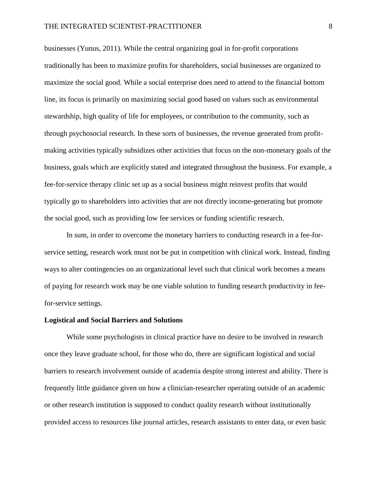businesses (Yunus, 2011). While the central organizing goal in for-profit corporations traditionally has been to maximize profits for shareholders, social businesses are organized to maximize the social good. While a social enterprise does need to attend to the financial bottom line, its focus is primarily on maximizing social good based on values such as environmental stewardship, high quality of life for employees, or contribution to the community, such as through psychosocial research. In these sorts of businesses, the revenue generated from profitmaking activities typically subsidizes other activities that focus on the non-monetary goals of the business, goals which are explicitly stated and integrated throughout the business. For example, a fee-for-service therapy clinic set up as a social business might reinvest profits that would typically go to shareholders into activities that are not directly income-generating but promote the social good, such as providing low fee services or funding scientific research.

In sum, in order to overcome the monetary barriers to conducting research in a fee-forservice setting, research work must not be put in competition with clinical work. Instead, finding ways to alter contingencies on an organizational level such that clinical work becomes a means of paying for research work may be one viable solution to funding research productivity in feefor-service settings.

#### **Logistical and Social Barriers and Solutions**

While some psychologists in clinical practice have no desire to be involved in research once they leave graduate school, for those who do, there are significant logistical and social barriers to research involvement outside of academia despite strong interest and ability. There is frequently little guidance given on how a clinician-researcher operating outside of an academic or other research institution is supposed to conduct quality research without institutionally provided access to resources like journal articles, research assistants to enter data, or even basic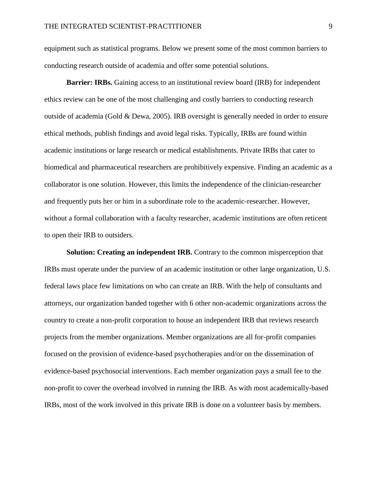equipment such as statistical programs. Below we present some of the most common barriers to conducting research outside of academia and offer some potential solutions.

**Barrier: IRBs.** Gaining access to an institutional review board (IRB) for independent ethics review can be one of the most challenging and costly barriers to conducting research outside of academia (Gold & Dewa, 2005). IRB oversight is generally needed in order to ensure ethical methods, publish findings and avoid legal risks. Typically, IRBs are found within academic institutions or large research or medical establishments. Private IRBs that cater to biomedical and pharmaceutical researchers are prohibitively expensive. Finding an academic as a collaborator is one solution. However, this limits the independence of the clinician-researcher and frequently puts her or him in a subordinate role to the academic-researcher. However, without a formal collaboration with a faculty researcher, academic institutions are often reticent to open their IRB to outsiders.

**Solution: Creating an independent IRB.** Contrary to the common misperception that IRBs must operate under the purview of an academic institution or other large organization, U.S. federal laws place few limitations on who can create an IRB. With the help of consultants and attorneys, our organization banded together with 6 other non-academic organizations across the country to create a non-profit corporation to house an independent IRB that reviews research projects from the member organizations. Member organizations are all for-profit companies focused on the provision of evidence-based psychotherapies and/or on the dissemination of evidence-based psychosocial interventions. Each member organization pays a small fee to the non-profit to cover the overhead involved in running the IRB. As with most academically-based IRBs, most of the work involved in this private IRB is done on a volunteer basis by members.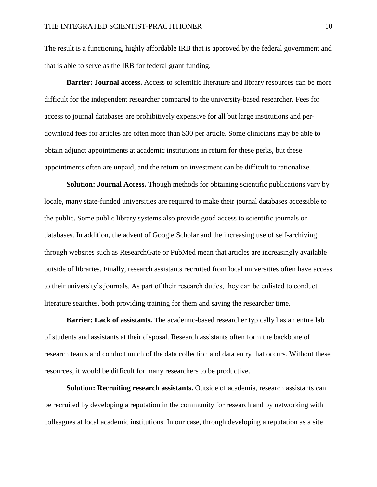The result is a functioning, highly affordable IRB that is approved by the federal government and that is able to serve as the IRB for federal grant funding.

**Barrier: Journal access.** Access to scientific literature and library resources can be more difficult for the independent researcher compared to the university-based researcher. Fees for access to journal databases are prohibitively expensive for all but large institutions and perdownload fees for articles are often more than \$30 per article. Some clinicians may be able to obtain adjunct appointments at academic institutions in return for these perks, but these appointments often are unpaid, and the return on investment can be difficult to rationalize.

**Solution: Journal Access.** Though methods for obtaining scientific publications vary by locale, many state-funded universities are required to make their journal databases accessible to the public. Some public library systems also provide good access to scientific journals or databases. In addition, the advent of Google Scholar and the increasing use of self-archiving through websites such as ResearchGate or PubMed mean that articles are increasingly available outside of libraries. Finally, research assistants recruited from local universities often have access to their university's journals. As part of their research duties, they can be enlisted to conduct literature searches, both providing training for them and saving the researcher time.

**Barrier: Lack of assistants.** The academic-based researcher typically has an entire lab of students and assistants at their disposal. Research assistants often form the backbone of research teams and conduct much of the data collection and data entry that occurs. Without these resources, it would be difficult for many researchers to be productive.

**Solution: Recruiting research assistants.** Outside of academia, research assistants can be recruited by developing a reputation in the community for research and by networking with colleagues at local academic institutions. In our case, through developing a reputation as a site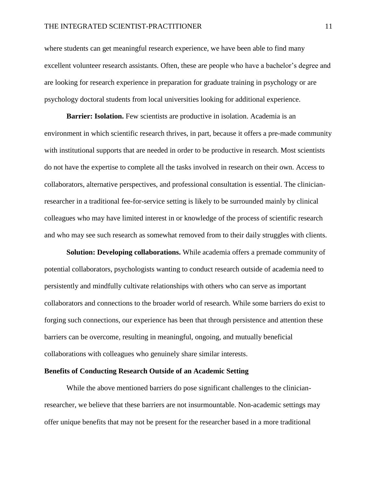where students can get meaningful research experience, we have been able to find many excellent volunteer research assistants. Often, these are people who have a bachelor's degree and are looking for research experience in preparation for graduate training in psychology or are psychology doctoral students from local universities looking for additional experience.

**Barrier: Isolation.** Few scientists are productive in isolation. Academia is an environment in which scientific research thrives, in part, because it offers a pre-made community with institutional supports that are needed in order to be productive in research. Most scientists do not have the expertise to complete all the tasks involved in research on their own. Access to collaborators, alternative perspectives, and professional consultation is essential. The clinicianresearcher in a traditional fee-for-service setting is likely to be surrounded mainly by clinical colleagues who may have limited interest in or knowledge of the process of scientific research and who may see such research as somewhat removed from to their daily struggles with clients.

**Solution: Developing collaborations.** While academia offers a premade community of potential collaborators, psychologists wanting to conduct research outside of academia need to persistently and mindfully cultivate relationships with others who can serve as important collaborators and connections to the broader world of research. While some barriers do exist to forging such connections, our experience has been that through persistence and attention these barriers can be overcome, resulting in meaningful, ongoing, and mutually beneficial collaborations with colleagues who genuinely share similar interests.

#### **Benefits of Conducting Research Outside of an Academic Setting**

While the above mentioned barriers do pose significant challenges to the clinicianresearcher, we believe that these barriers are not insurmountable. Non-academic settings may offer unique benefits that may not be present for the researcher based in a more traditional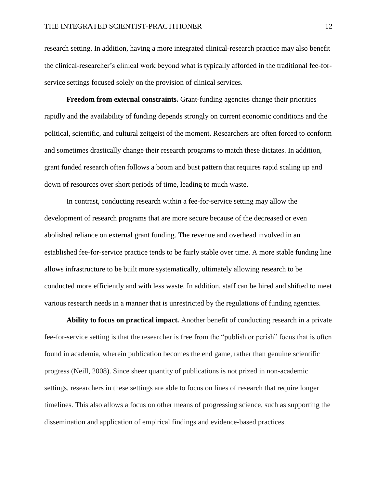research setting. In addition, having a more integrated clinical-research practice may also benefit the clinical-researcher's clinical work beyond what is typically afforded in the traditional fee-forservice settings focused solely on the provision of clinical services.

**Freedom from external constraints***.* Grant-funding agencies change their priorities rapidly and the availability of funding depends strongly on current economic conditions and the political, scientific, and cultural zeitgeist of the moment. Researchers are often forced to conform and sometimes drastically change their research programs to match these dictates. In addition, grant funded research often follows a boom and bust pattern that requires rapid scaling up and down of resources over short periods of time, leading to much waste.

In contrast, conducting research within a fee-for-service setting may allow the development of research programs that are more secure because of the decreased or even abolished reliance on external grant funding. The revenue and overhead involved in an established fee-for-service practice tends to be fairly stable over time. A more stable funding line allows infrastructure to be built more systematically, ultimately allowing research to be conducted more efficiently and with less waste. In addition, staff can be hired and shifted to meet various research needs in a manner that is unrestricted by the regulations of funding agencies.

**Ability to focus on practical impact***.* Another benefit of conducting research in a private fee-for-service setting is that the researcher is free from the "publish or perish" focus that is often found in academia, wherein publication becomes the end game, rather than genuine scientific progress (Neill, 2008). Since sheer quantity of publications is not prized in non-academic settings, researchers in these settings are able to focus on lines of research that require longer timelines. This also allows a focus on other means of progressing science, such as supporting the dissemination and application of empirical findings and evidence-based practices.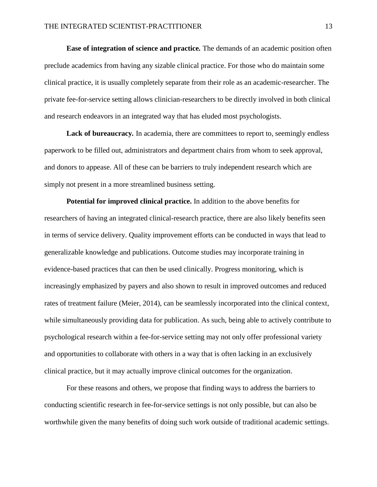**Ease of integration of science and practice***.* The demands of an academic position often preclude academics from having any sizable clinical practice. For those who do maintain some clinical practice, it is usually completely separate from their role as an academic-researcher. The private fee-for-service setting allows clinician-researchers to be directly involved in both clinical and research endeavors in an integrated way that has eluded most psychologists.

Lack of bureaucracy. In academia, there are committees to report to, seemingly endless paperwork to be filled out, administrators and department chairs from whom to seek approval, and donors to appease. All of these can be barriers to truly independent research which are simply not present in a more streamlined business setting.

**Potential for improved clinical practice.** In addition to the above benefits for researchers of having an integrated clinical-research practice, there are also likely benefits seen in terms of service delivery. Quality improvement efforts can be conducted in ways that lead to generalizable knowledge and publications. Outcome studies may incorporate training in evidence-based practices that can then be used clinically. Progress monitoring, which is increasingly emphasized by payers and also shown to result in improved outcomes and reduced rates of treatment failure (Meier, 2014), can be seamlessly incorporated into the clinical context, while simultaneously providing data for publication. As such, being able to actively contribute to psychological research within a fee-for-service setting may not only offer professional variety and opportunities to collaborate with others in a way that is often lacking in an exclusively clinical practice, but it may actually improve clinical outcomes for the organization.

For these reasons and others, we propose that finding ways to address the barriers to conducting scientific research in fee-for-service settings is not only possible, but can also be worthwhile given the many benefits of doing such work outside of traditional academic settings.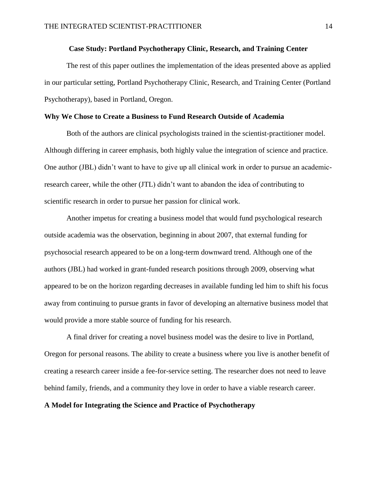## **Case Study: Portland Psychotherapy Clinic, Research, and Training Center**

The rest of this paper outlines the implementation of the ideas presented above as applied in our particular setting, Portland Psychotherapy Clinic, Research, and Training Center (Portland Psychotherapy), based in Portland, Oregon.

## **Why We Chose to Create a Business to Fund Research Outside of Academia**

Both of the authors are clinical psychologists trained in the scientist-practitioner model. Although differing in career emphasis, both highly value the integration of science and practice. One author (JBL) didn't want to have to give up all clinical work in order to pursue an academicresearch career, while the other (JTL) didn't want to abandon the idea of contributing to scientific research in order to pursue her passion for clinical work.

Another impetus for creating a business model that would fund psychological research outside academia was the observation, beginning in about 2007, that external funding for psychosocial research appeared to be on a long-term downward trend. Although one of the authors (JBL) had worked in grant-funded research positions through 2009, observing what appeared to be on the horizon regarding decreases in available funding led him to shift his focus away from continuing to pursue grants in favor of developing an alternative business model that would provide a more stable source of funding for his research.

A final driver for creating a novel business model was the desire to live in Portland, Oregon for personal reasons. The ability to create a business where you live is another benefit of creating a research career inside a fee-for-service setting. The researcher does not need to leave behind family, friends, and a community they love in order to have a viable research career.

#### **A Model for Integrating the Science and Practice of Psychotherapy**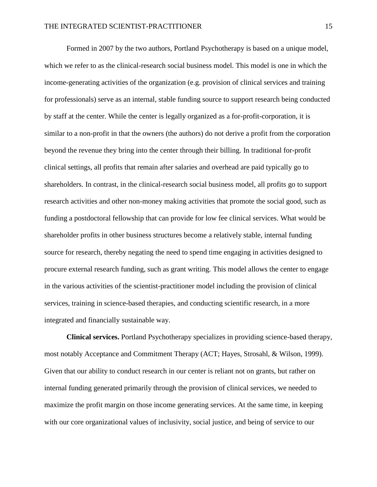Formed in 2007 by the two authors, Portland Psychotherapy is based on a unique model, which we refer to as the clinical-research social business model. This model is one in which the income-generating activities of the organization (e.g. provision of clinical services and training for professionals) serve as an internal, stable funding source to support research being conducted by staff at the center. While the center is legally organized as a for-profit-corporation, it is similar to a non-profit in that the owners (the authors) do not derive a profit from the corporation beyond the revenue they bring into the center through their billing. In traditional for-profit clinical settings, all profits that remain after salaries and overhead are paid typically go to shareholders. In contrast, in the clinical-research social business model, all profits go to support research activities and other non-money making activities that promote the social good, such as funding a postdoctoral fellowship that can provide for low fee clinical services. What would be shareholder profits in other business structures become a relatively stable, internal funding source for research, thereby negating the need to spend time engaging in activities designed to procure external research funding, such as grant writing. This model allows the center to engage in the various activities of the scientist-practitioner model including the provision of clinical services, training in science-based therapies, and conducting scientific research, in a more integrated and financially sustainable way.

**Clinical services.** Portland Psychotherapy specializes in providing science-based therapy, most notably Acceptance and Commitment Therapy (ACT; Hayes, Strosahl, & Wilson, 1999). Given that our ability to conduct research in our center is reliant not on grants, but rather on internal funding generated primarily through the provision of clinical services, we needed to maximize the profit margin on those income generating services. At the same time, in keeping with our core organizational values of inclusivity, social justice, and being of service to our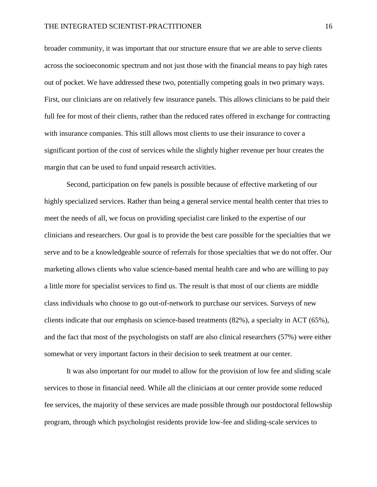broader community, it was important that our structure ensure that we are able to serve clients across the socioeconomic spectrum and not just those with the financial means to pay high rates out of pocket. We have addressed these two, potentially competing goals in two primary ways. First, our clinicians are on relatively few insurance panels. This allows clinicians to be paid their full fee for most of their clients, rather than the reduced rates offered in exchange for contracting with insurance companies. This still allows most clients to use their insurance to cover a significant portion of the cost of services while the slightly higher revenue per hour creates the margin that can be used to fund unpaid research activities.

Second, participation on few panels is possible because of effective marketing of our highly specialized services. Rather than being a general service mental health center that tries to meet the needs of all, we focus on providing specialist care linked to the expertise of our clinicians and researchers. Our goal is to provide the best care possible for the specialties that we serve and to be a knowledgeable source of referrals for those specialties that we do not offer. Our marketing allows clients who value science-based mental health care and who are willing to pay a little more for specialist services to find us. The result is that most of our clients are middle class individuals who choose to go out-of-network to purchase our services. Surveys of new clients indicate that our emphasis on science-based treatments (82%), a specialty in ACT (65%), and the fact that most of the psychologists on staff are also clinical researchers (57%) were either somewhat or very important factors in their decision to seek treatment at our center.

It was also important for our model to allow for the provision of low fee and sliding scale services to those in financial need. While all the clinicians at our center provide some reduced fee services, the majority of these services are made possible through our postdoctoral fellowship program, through which psychologist residents provide low-fee and sliding-scale services to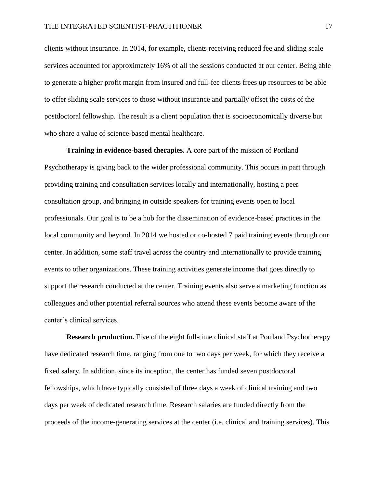clients without insurance. In 2014, for example, clients receiving reduced fee and sliding scale services accounted for approximately 16% of all the sessions conducted at our center. Being able to generate a higher profit margin from insured and full-fee clients frees up resources to be able to offer sliding scale services to those without insurance and partially offset the costs of the postdoctoral fellowship. The result is a client population that is socioeconomically diverse but who share a value of science-based mental healthcare.

**Training in evidence-based therapies.** A core part of the mission of Portland Psychotherapy is giving back to the wider professional community. This occurs in part through providing training and consultation services locally and internationally, hosting a peer consultation group, and bringing in outside speakers for training events open to local professionals. Our goal is to be a hub for the dissemination of evidence-based practices in the local community and beyond. In 2014 we hosted or co-hosted 7 paid training events through our center. In addition, some staff travel across the country and internationally to provide training events to other organizations. These training activities generate income that goes directly to support the research conducted at the center. Training events also serve a marketing function as colleagues and other potential referral sources who attend these events become aware of the center's clinical services.

**Research production.** Five of the eight full-time clinical staff at Portland Psychotherapy have dedicated research time, ranging from one to two days per week, for which they receive a fixed salary. In addition, since its inception, the center has funded seven postdoctoral fellowships, which have typically consisted of three days a week of clinical training and two days per week of dedicated research time. Research salaries are funded directly from the proceeds of the income-generating services at the center (i.e. clinical and training services). This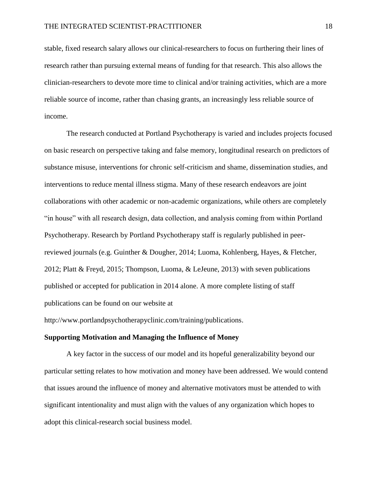stable, fixed research salary allows our clinical-researchers to focus on furthering their lines of research rather than pursuing external means of funding for that research. This also allows the clinician-researchers to devote more time to clinical and/or training activities, which are a more reliable source of income, rather than chasing grants, an increasingly less reliable source of income.

The research conducted at Portland Psychotherapy is varied and includes projects focused on basic research on perspective taking and false memory, longitudinal research on predictors of substance misuse, interventions for chronic self-criticism and shame, dissemination studies, and interventions to reduce mental illness stigma. Many of these research endeavors are joint collaborations with other academic or non-academic organizations, while others are completely "in house" with all research design, data collection, and analysis coming from within Portland Psychotherapy. Research by Portland Psychotherapy staff is regularly published in peerreviewed journals (e.g. Guinther & Dougher, 2014; Luoma, Kohlenberg, Hayes, & Fletcher, 2012; Platt & Freyd, 2015; Thompson, Luoma, & LeJeune, 2013) with seven publications published or accepted for publication in 2014 alone. A more complete listing of staff publications can be found on our website at

http://www.portlandpsychotherapyclinic.com/training/publications.

#### **Supporting Motivation and Managing the Influence of Money**

A key factor in the success of our model and its hopeful generalizability beyond our particular setting relates to how motivation and money have been addressed. We would contend that issues around the influence of money and alternative motivators must be attended to with significant intentionality and must align with the values of any organization which hopes to adopt this clinical-research social business model.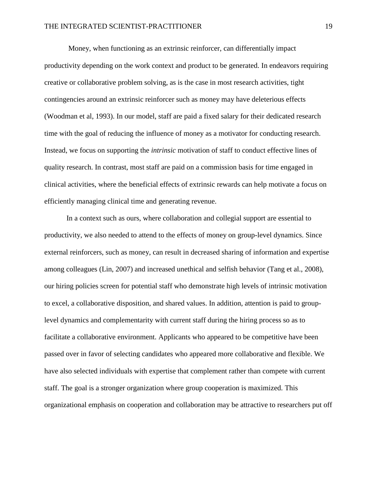Money, when functioning as an extrinsic reinforcer, can differentially impact productivity depending on the work context and product to be generated. In endeavors requiring creative or collaborative problem solving, as is the case in most research activities, tight contingencies around an extrinsic reinforcer such as money may have deleterious effects (Woodman et al, 1993). In our model, staff are paid a fixed salary for their dedicated research time with the goal of reducing the influence of money as a motivator for conducting research. Instead, we focus on supporting the *intrinsic* motivation of staff to conduct effective lines of quality research. In contrast, most staff are paid on a commission basis for time engaged in clinical activities, where the beneficial effects of extrinsic rewards can help motivate a focus on efficiently managing clinical time and generating revenue.

In a context such as ours, where collaboration and collegial support are essential to productivity, we also needed to attend to the effects of money on group-level dynamics. Since external reinforcers, such as money, can result in decreased sharing of information and expertise among colleagues (Lin, 2007) and increased unethical and selfish behavior (Tang et al., 2008), our hiring policies screen for potential staff who demonstrate high levels of intrinsic motivation to excel, a collaborative disposition, and shared values. In addition, attention is paid to grouplevel dynamics and complementarity with current staff during the hiring process so as to facilitate a collaborative environment. Applicants who appeared to be competitive have been passed over in favor of selecting candidates who appeared more collaborative and flexible. We have also selected individuals with expertise that complement rather than compete with current staff. The goal is a stronger organization where group cooperation is maximized. This organizational emphasis on cooperation and collaboration may be attractive to researchers put off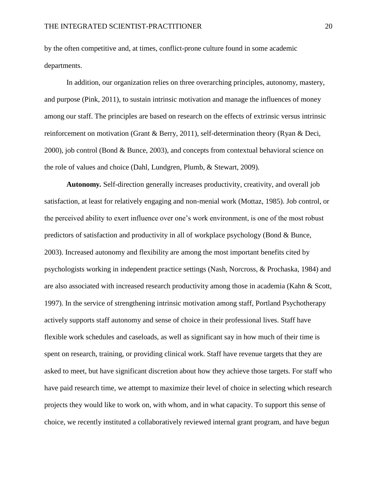by the often competitive and, at times, conflict-prone culture found in some academic departments.

In addition, our organization relies on three overarching principles, autonomy, mastery, and purpose (Pink, 2011), to sustain intrinsic motivation and manage the influences of money among our staff. The principles are based on research on the effects of extrinsic versus intrinsic reinforcement on motivation (Grant & Berry, 2011), self-determination theory (Ryan & Deci, 2000), job control (Bond & Bunce, 2003), and concepts from contextual behavioral science on the role of values and choice (Dahl, Lundgren, Plumb, & Stewart, 2009).

**Autonomy***.* Self-direction generally increases productivity, creativity, and overall job satisfaction, at least for relatively engaging and non-menial work (Mottaz, 1985). Job control, or the perceived ability to exert influence over one's work environment, is one of the most robust predictors of satisfaction and productivity in all of workplace psychology (Bond & Bunce, 2003). Increased autonomy and flexibility are among the most important benefits cited by psychologists working in independent practice settings (Nash, Norcross, & Prochaska, 1984) and are also associated with increased research productivity among those in academia (Kahn & Scott, 1997). In the service of strengthening intrinsic motivation among staff, Portland Psychotherapy actively supports staff autonomy and sense of choice in their professional lives. Staff have flexible work schedules and caseloads, as well as significant say in how much of their time is spent on research, training, or providing clinical work. Staff have revenue targets that they are asked to meet, but have significant discretion about how they achieve those targets. For staff who have paid research time, we attempt to maximize their level of choice in selecting which research projects they would like to work on, with whom, and in what capacity. To support this sense of choice, we recently instituted a collaboratively reviewed internal grant program, and have begun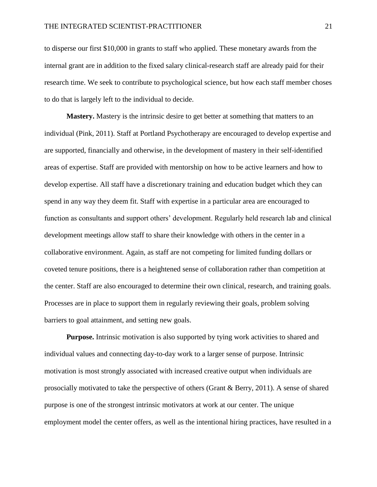to disperse our first \$10,000 in grants to staff who applied. These monetary awards from the internal grant are in addition to the fixed salary clinical-research staff are already paid for their research time. We seek to contribute to psychological science, but how each staff member choses to do that is largely left to the individual to decide.

**Mastery.** Mastery is the intrinsic desire to get better at something that matters to an individual (Pink, 2011). Staff at Portland Psychotherapy are encouraged to develop expertise and are supported, financially and otherwise, in the development of mastery in their self-identified areas of expertise. Staff are provided with mentorship on how to be active learners and how to develop expertise. All staff have a discretionary training and education budget which they can spend in any way they deem fit. Staff with expertise in a particular area are encouraged to function as consultants and support others' development. Regularly held research lab and clinical development meetings allow staff to share their knowledge with others in the center in a collaborative environment. Again, as staff are not competing for limited funding dollars or coveted tenure positions, there is a heightened sense of collaboration rather than competition at the center. Staff are also encouraged to determine their own clinical, research, and training goals. Processes are in place to support them in regularly reviewing their goals, problem solving barriers to goal attainment, and setting new goals.

**Purpose.** Intrinsic motivation is also supported by tying work activities to shared and individual values and connecting day-to-day work to a larger sense of purpose. Intrinsic motivation is most strongly associated with increased creative output when individuals are prosocially motivated to take the perspective of others (Grant & Berry, 2011). A sense of shared purpose is one of the strongest intrinsic motivators at work at our center. The unique employment model the center offers, as well as the intentional hiring practices, have resulted in a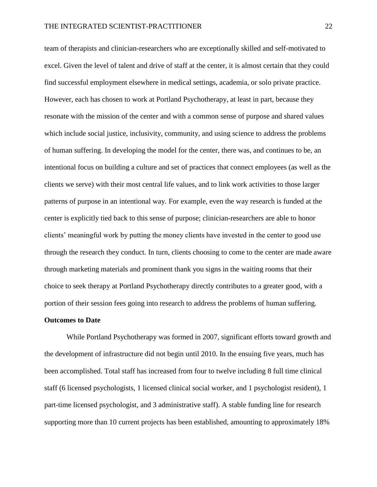team of therapists and clinician-researchers who are exceptionally skilled and self-motivated to excel. Given the level of talent and drive of staff at the center, it is almost certain that they could find successful employment elsewhere in medical settings, academia, or solo private practice. However, each has chosen to work at Portland Psychotherapy, at least in part, because they resonate with the mission of the center and with a common sense of purpose and shared values which include social justice, inclusivity, community, and using science to address the problems of human suffering. In developing the model for the center, there was, and continues to be, an intentional focus on building a culture and set of practices that connect employees (as well as the clients we serve) with their most central life values, and to link work activities to those larger patterns of purpose in an intentional way. For example, even the way research is funded at the center is explicitly tied back to this sense of purpose; clinician-researchers are able to honor clients' meaningful work by putting the money clients have invested in the center to good use through the research they conduct. In turn, clients choosing to come to the center are made aware through marketing materials and prominent thank you signs in the waiting rooms that their choice to seek therapy at Portland Psychotherapy directly contributes to a greater good, with a portion of their session fees going into research to address the problems of human suffering.

#### **Outcomes to Date**

While Portland Psychotherapy was formed in 2007, significant efforts toward growth and the development of infrastructure did not begin until 2010. In the ensuing five years, much has been accomplished. Total staff has increased from four to twelve including 8 full time clinical staff (6 licensed psychologists, 1 licensed clinical social worker, and 1 psychologist resident), 1 part-time licensed psychologist, and 3 administrative staff). A stable funding line for research supporting more than 10 current projects has been established, amounting to approximately 18%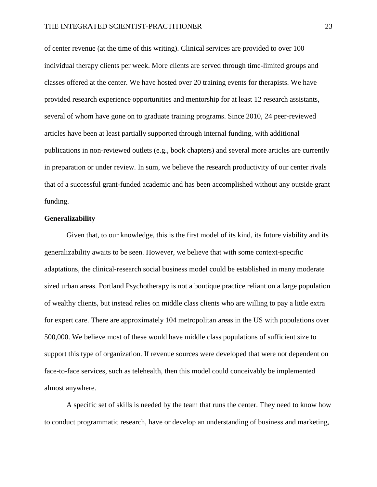of center revenue (at the time of this writing). Clinical services are provided to over 100 individual therapy clients per week. More clients are served through time-limited groups and classes offered at the center. We have hosted over 20 training events for therapists. We have provided research experience opportunities and mentorship for at least 12 research assistants, several of whom have gone on to graduate training programs. Since 2010, 24 peer-reviewed articles have been at least partially supported through internal funding, with additional publications in non-reviewed outlets (e.g., book chapters) and several more articles are currently in preparation or under review. In sum, we believe the research productivity of our center rivals that of a successful grant-funded academic and has been accomplished without any outside grant funding.

#### **Generalizability**

Given that, to our knowledge, this is the first model of its kind, its future viability and its generalizability awaits to be seen. However, we believe that with some context-specific adaptations, the clinical-research social business model could be established in many moderate sized urban areas. Portland Psychotherapy is not a boutique practice reliant on a large population of wealthy clients, but instead relies on middle class clients who are willing to pay a little extra for expert care. There are approximately 104 metropolitan areas in the US with populations over 500,000. We believe most of these would have middle class populations of sufficient size to support this type of organization. If revenue sources were developed that were not dependent on face-to-face services, such as telehealth, then this model could conceivably be implemented almost anywhere.

A specific set of skills is needed by the team that runs the center. They need to know how to conduct programmatic research, have or develop an understanding of business and marketing,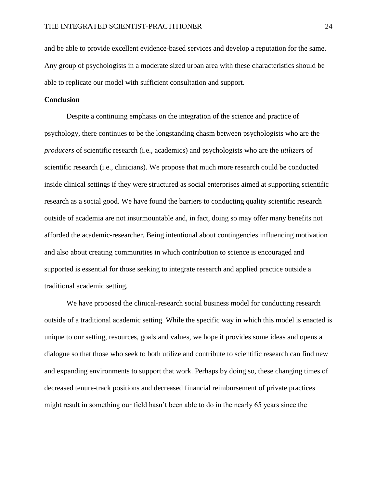and be able to provide excellent evidence-based services and develop a reputation for the same. Any group of psychologists in a moderate sized urban area with these characteristics should be able to replicate our model with sufficient consultation and support.

## **Conclusion**

Despite a continuing emphasis on the integration of the science and practice of psychology, there continues to be the longstanding chasm between psychologists who are the *producers* of scientific research (i.e., academics) and psychologists who are the *utilizers* of scientific research (i.e., clinicians). We propose that much more research could be conducted inside clinical settings if they were structured as social enterprises aimed at supporting scientific research as a social good. We have found the barriers to conducting quality scientific research outside of academia are not insurmountable and, in fact, doing so may offer many benefits not afforded the academic-researcher. Being intentional about contingencies influencing motivation and also about creating communities in which contribution to science is encouraged and supported is essential for those seeking to integrate research and applied practice outside a traditional academic setting.

We have proposed the clinical-research social business model for conducting research outside of a traditional academic setting. While the specific way in which this model is enacted is unique to our setting, resources, goals and values, we hope it provides some ideas and opens a dialogue so that those who seek to both utilize and contribute to scientific research can find new and expanding environments to support that work. Perhaps by doing so, these changing times of decreased tenure-track positions and decreased financial reimbursement of private practices might result in something our field hasn't been able to do in the nearly 65 years since the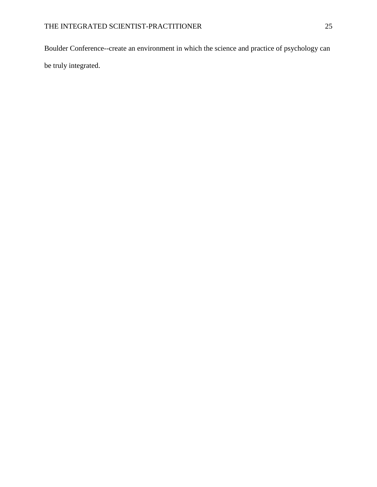Boulder Conference--create an environment in which the science and practice of psychology can be truly integrated.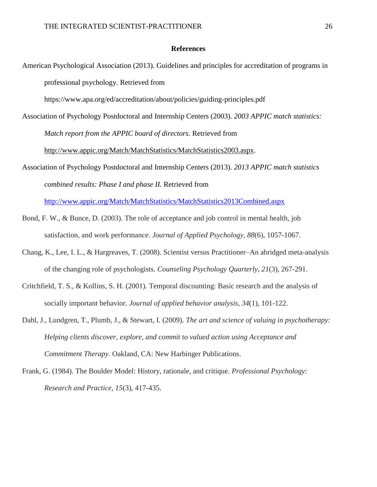#### **References**

American Psychological Association (2013). Guidelines and principles for accreditation of programs in professional psychology. Retrieved from

https://www.apa.org/ed/accreditation/about/policies/guiding-principles.pdf

Association of Psychology Postdoctoral and Internship Centers (2003). *2003 APPIC match statistics: Match report from the APPIC board of directors.* Retrieved from

[http://www.appic.org/Match/MatchStatistics/MatchStatistics2003.aspx.](http://www.appic.org/Match/MatchStatistics/MatchStatistics2003.aspx)

Association of Psychology Postdoctoral and Internship Centers (2013). *2013 APPIC match statistics combined results: Phase I and phase II.* Retrieved from

<http://www.appic.org/Match/MatchStatistics/MatchStatistics2013Combined.aspx>

- Bond, F. W., & Bunce, D. (2003). The role of acceptance and job control in mental health, job satisfaction, and work performance. *Journal of Applied Psychology*, *88*(6), 1057-1067.
- Chang, K., Lee, I. L., & Hargreaves, T. (2008). Scientist versus Practitioner–An abridged meta-analysis of the changing role of psychologists. *Counseling Psychology Quarterly*, *21*(3), 267-291.
- Critchfield, T. S., & Kollins, S. H. (2001). Temporal discounting: Basic research and the analysis of socially important behavior. *Journal of applied behavior analysis*, *34*(1), 101-122.
- Dahl, J., Lundgren, T., Plumb, J., & Stewart, I. (2009). *The art and science of valuing in psychotherapy: Helping clients discover, explore, and commit to valued action using Acceptance and Commitment Therapy*. Oakland, CA: New Harbinger Publications.
- Frank, G. (1984). The Boulder Model: History, rationale, and critique. *Professional Psychology: Research and Practice*, *15*(3), 417-435.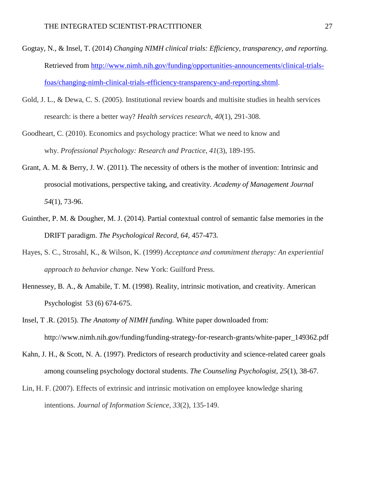- Gogtay, N., & Insel, T. (2014) *Changing NIMH clinical trials: Efficiency, transparency, and reporting.* Retrieved from [http://www.nimh.nih.gov/funding/opportunities-announcements/clinical-trials](http://www.nimh.nih.gov/funding/opportunities-announcements/clinical-trials-foas/changing-nimh-clinical-trials-efficiency-transparency-and-reporting.shtml)[foas/changing-nimh-clinical-trials-efficiency-transparency-and-reporting.shtml](http://www.nimh.nih.gov/funding/opportunities-announcements/clinical-trials-foas/changing-nimh-clinical-trials-efficiency-transparency-and-reporting.shtml).
- Gold, J. L., & Dewa, C. S. (2005). Institutional review boards and multisite studies in health services research: is there a better way? *Health services research*, *40*(1), 291-308.
- Goodheart, C. (2010). Economics and psychology practice: What we need to know and why. *Professional Psychology: Research and Practice*, *41*(3), 189-195.
- Grant, A. M. & Berry, J. W. (2011). The necessity of others is the mother of invention: Intrinsic and prosocial motivations, perspective taking, and creativity. *Academy of Management Journal 54*(1), 73-96.
- Guinther, P. M. & Dougher, M. J. (2014). Partial contextual control of semantic false memories in the DRIFT paradigm. *The Psychological Record, 64,* 457-473*.*
- Hayes, S. C., Strosahl, K., & Wilson, K. (1999) *Acceptance and commitment therapy: An experiential approach to behavior change*. New York: Guilford Press.
- Hennessey, B. A., & Amabile, T. M. (1998). Reality, intrinsic motivation, and creativity. American Psychologist 53 (6) 674-675.
- Insel, T .R. (2015). *The Anatomy of NIMH funding.* White paper downloaded from: http://www.nimh.nih.gov/funding/funding-strategy-for-research-grants/white-paper\_149362.pdf
- Kahn, J. H., & Scott, N. A. (1997). Predictors of research productivity and science-related career goals among counseling psychology doctoral students. *The Counseling Psychologist, 25*(1), 38-67.
- Lin, H. F. (2007). Effects of extrinsic and intrinsic motivation on employee knowledge sharing intentions. *Journal of Information Science*, *33*(2), 135-149.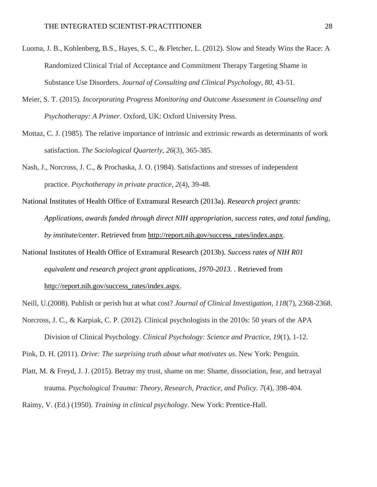- Luoma, J. B., Kohlenberg, B.S., Hayes, S. C., & Fletcher, L. (2012). Slow and Steady Wins the Race: A Randomized Clinical Trial of Acceptance and Commitment Therapy Targeting Shame in Substance Use Disorders. *Journal of Consulting and Clinical Psychology, 80,* 43-51*.*
- Meier, S. T. (2015). *Incorporating Progress Monitoring and Outcome Assessment in Counseling and Psychotherapy: A Primer.* Oxford, UK: Oxford University Press.
- Mottaz, C. J. (1985). The relative importance of intrinsic and extrinsic rewards as determinants of work satisfaction. *The Sociological Quarterly*, *26*(3), 365-385.
- Nash, J., Norcross, J. C., & Prochaska, J. O. (1984). Satisfactions and stresses of independent practice. *Psychotherapy in private practice*, *2*(4), 39-48.
- National Institutes of Health Office of Extramural Research (2013a). *Research project grants: Applications, awards funded through direct NIH appropriation, success rates, and total funding, by institute/center.* Retrieved from [http://report.nih.gov/success\\_rates/index.aspx.](http://report.nih.gov/success_rates/index.aspx)
- National Institutes of Health Office of Extramural Research (2013b). *Success rates of NIH R01 equivalent and research project grant applications, 1970-2013. .* Retrieved from [http://report.nih.gov/success\\_rates/index.aspx.](http://report.nih.gov/success_rates/index.aspx)

Neill, U.(2008). Publish or perish but at what cost? *Journal of Clinical Investigation*, *118*(7), 2368-2368.

Norcross, J. C., & Karpiak, C. P. (2012). Clinical psychologists in the 2010s: 50 years of the APA Division of Clinical Psychology. *Clinical Psychology: Science and Practice*, *19*(1), 1-12.

Pink, D. H. (2011). *Drive: The surprising truth about what motivates us*. New York: Penguin.

Platt, M. & Freyd, J. J. (2015). Betray my trust, shame on me: Shame, dissociation, fear, and betrayal trauma. *Psychological Trauma: Theory, Research, Practice, and Policy. 7*(4), 398-404.

Raimy, V. (Ed.) (1950). *Training in clinical psychology*. New York: Prentice-Hall.